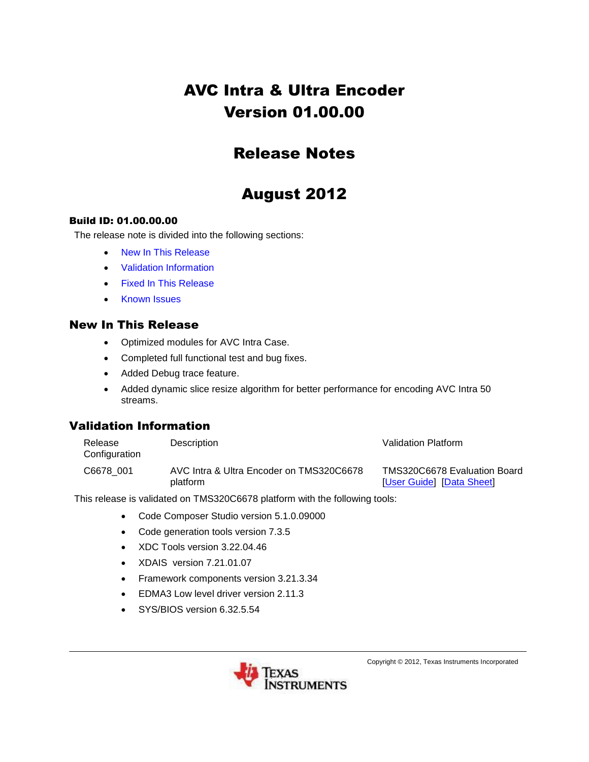# AVC Intra & Ultra Encoder Version 01.00.00

## Release Notes

## August 2012

#### Build ID: 01.00.00.00

The release note is divided into the following sections:

- [New In This Release](#page-0-0)
- [Validation Information](#page-0-1)
- [Fixed In This Release](#page-1-0)
- [Known Issues](#page-1-1)

#### <span id="page-0-0"></span>New In This Release

- Optimized modules for AVC Intra Case.
- Completed full functional test and bug fixes.
- Added Debug trace feature.
- Added dynamic slice resize algorithm for better performance for encoding AVC Intra 50 streams.

#### <span id="page-0-1"></span>Validation Information

| Release<br>Configuration | Description                                          | Validation Platform                                       |
|--------------------------|------------------------------------------------------|-----------------------------------------------------------|
| C6678 001                | AVC Intra & Ultra Encoder on TMS320C6678<br>platform | TMS320C6678 Evaluation Board<br>[User Guide] [Data Sheet] |

This release is validated on TMS320C6678 platform with the following tools:

- Code Composer Studio version 5.1.0.09000
- Code generation tools version 7.3.5
- XDC Tools version 3.22.04.46
- XDAIS version 7.21.01.07
- Framework components version 3.21.3.34
- **EDMA3 Low level driver version 2.11.3**
- SYS/BIOS version 6.32.5.54



Copyright © 2012, Texas Instruments Incorporated